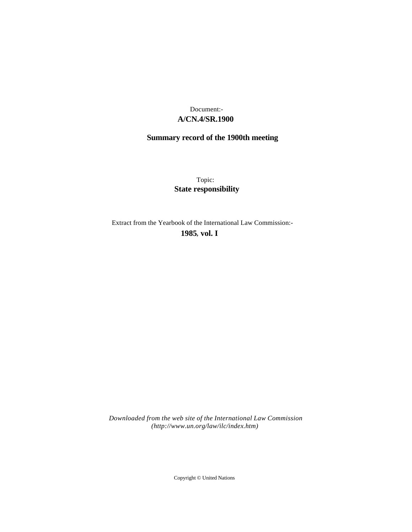# **A/CN.4/SR.1900** Document:-

# **Summary record of the 1900th meeting**

Topic: **State responsibility**

Extract from the Yearbook of the International Law Commission:-

**1985** , **vol. I**

*Downloaded from the web site of the International Law Commission (http://www.un.org/law/ilc/index.htm)*

Copyright © United Nations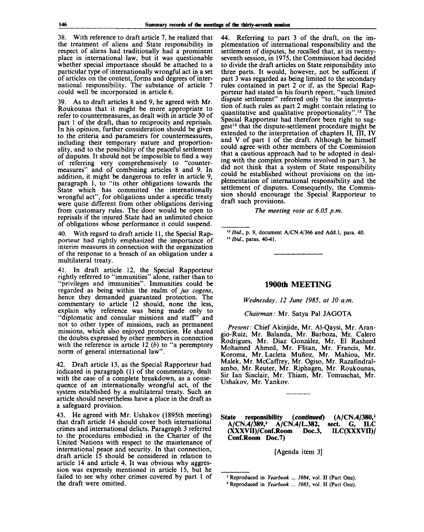38. With reference to draft article 7, he realized that the treatment of aliens and State responsibility in respect of aliens had traditionally had a prominent place in international law, but it was questionable whether special importance should be attached to a particular type of internationally wrongful act in a set of articles on the content, forms and degrees of international responsibility. The substance of article 7 could well be incorporated in article 6.

39. As to draft articles 8 and 9, he agreed with Mr. Roukounas that it might be more appropriate to refer to countermeasures, as dealt with in article 30 of part 1 of the draft, than to reciprocity and reprisals. In his opinion, further consideration should be given to the criteria and parameters for countermeasures, including their temporary nature and proportionality, and to the possibility of the peaceful settlement of disputes. It should not be impossible to find a way of referring very comprehensively to "countermeasures" and of combining articles 8 and 9. In addition, it might be dangerous to refer in article 9, paragraph 1, to "its other obligations towards the State which has committed the internationally wrongful act", for obligations under a specific treaty were quite different from other obligations deriving from customary rules. The door would be open to reprisals if the injured State had an unlimited choice of obligations whose performance it could suspend.

40. With regard to draft article 11, the Special Rapporteur had rightly emphasized the importance of interim measures in connection with the organization of the response to a breach of an obligation under a multilateral treaty.

41. In draft article 12, the Special Rapporteur rightly referred to "immunities" alone, rather than to "privileges and immunities". Immunities could be regarded as being within the realm of *jus cogens,* hence they demanded guaranteed protection. The commentary to article 12 should, none the less, explain why reference was being made only to "diplomatic and consular missions and staff" and not to other types of missions, such as permanent missions, which also enjoyed protection. He shared the doubts expressed by other members in connection with the reference in article 12  $(b)$  to "a peremptory norm of general international law".

42. Draft article 13, as the Special Rapporteur had indicated in paragraph (1) of the commentary, dealt with the case of a complete breakdown, as a consequence of an internationally wrongful act, of the system established by a multilateral treaty. Such an article should nevertheless have a place in the draft as a safeguard provision.

43. He agreed with Mr. Ushakov (1895th meeting) that draft article 14 should cover both international crimes and international delicts. Paragraph 3 referred to the procedures embodied in the Charter of the United Nations with respect to the maintenance of international peace and security. In that connection, draft article 15 should be considered in relation to article 14 and article 4. It was obvious why aggression was expressly mentioned in article 15, but he failed to see why other crimes covered by part 1 of the draft were omitted.

44. Referring to part 3 of the draft, on the implementation of international responsibility and the settlement of disputes, he recalled that, at its twentyseventh session, in 1975, the Commission had decided to divide the draft articles on State responsibility into three parts. It would, however, not be sufficient if part 3 was regarded as being limited to the secondary rules contained in part 2 or if, as the Special Rapporteur had stated in his fourth report, "such limited dispute settlement" referred only "to the interpretation of. such rules as part 2 might contain relating to quantitative and qualitative proportionality".<sup>12</sup> The Special Rapporteur had therefore been right to suggest<sup>13</sup> that the dispute-settlement procedure might be extended to the interpretation of chapters II, III, IV and V of part 1 of the draft. Although he himself could agree with other members of the Commission that a cautious approach had to be adopted in dealing with the complex problems involved in part 3, he did not think that a system of State responsibility could be established without provisions on the implementation of international responsibility and the settlement of disputes. Consequently, the Commission should encourage the Special Rapporteur to draft such provisions.

*The meeting rose at 6.05 p.m.*

*"Ibid.,* p. 9, document A/CN.4/366 and Add.l, para. 40. 13  *Ibid.,* paras. 40-41.

#### **1900th MEETING**

*Wednesday, 12 June 1985, at 10 a.m.*

*Chairman:* Mr. Satya Pal JAGOTA

*Present:* Chief Akinjide, Mr. Al-Qaysi, Mr. Arangio-Ruiz, Mr. Balanda, Mr. Barboza, Mr. Calero Rodrigues, Mr. Diaz Gonzalez, Mr. El Rasheed Mohamed Ahmed, Mr. Flitan, Mr. Francis, Mr. Koroma, Mr. Lacleta Mufioz, Mr. Mahiou, Mr. Malek, Mr. McCaffrey, Mr. Ogiso, Mr. Razafindralambo, Mr. Reuter, Mr. Riphagen, Mr. Roukounas, Sir Ian Sinclair, Mr. Thiam, Mr. Tomuschat, Mr. Ushakov, Mr. Yankov.

**State responsibility** *{continued)* **(A/CN.4/380,<sup>1</sup> A/CN.4/389,<sup>2</sup> sect. G, ILC**<br>ILC(XXXVII)/ (XXXVII)/Conf.Room Doc.3, **Conf.Room Doc.7)**

[Agenda item 3]

<sup>&</sup>lt;sup>1</sup> Reproduced in Yearbook ... 1984, vol. II (Part One).

*<sup>2</sup>* Reproduced in *Yearbook 1985,* vol. II (Part One).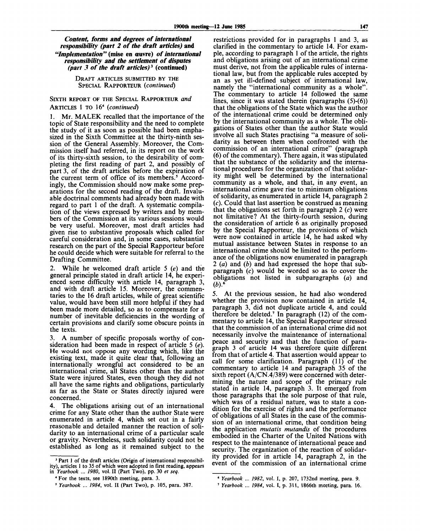*Content, forms and degrees of international responsibility (part 2 of the draft articles)* **and** *"Implementation" (mise* **en eeuvre)** *of international responsibility and the settlement of disputes (part 3 of the draft articles)<sup>3</sup>*  **(continued)**

> DRAFT ARTICLES SUBMITTED BY THE SPECIAL RAPPORTEUR *{continued)*

### SIXTH REPORT OF THE SPECIAL RAPPORTEUR *and* ARTICLES 1 TO 16<sup>4</sup>  *{continued)*

1. Mr. MALEK recalled that the importance of the topic of State responsibility and the need to complete the study of it as soon as possible had been emphasized in the Sixth Committee at the thirty-ninth session of the General Assembly. Moreover, the Commission itself had referred, in its report on the work of its thirty-sixth session, to the desirability of completing the first reading of part 2, and possibly of part 3, of the draft articles before the expiration of the current term of office of its members.<sup>5</sup> Accordingly, the Commission should now make some preparations for the second reading of the draft. Invaluable doctrinal comments had already been made with regard to part 1 of the draft. A systematic compilation of the views expressed by writers and by members of the Commission at its various sessions would be very useful. Moreover, most draft articles had given rise to substantive proposals which called for careful consideration and, in some cases, substantial research on the part of the Special Rapporteur before he could decide which were suitable for referral to the Drafting Committee.

2. While he welcomed draft article 5 *{e)* and the general principle stated in draft article 14, he experienced some difficulty with article 14, paragraph 3, and with draft article 15. Moreover, the commentaries to the 16 draft articles, while of great scientific value, would have been still more helpful if they had been made more detailed, so as to compensate for a number of inevitable deficiencies in the wording of certain provisions and clarify some obscure points in the texts.

3. A number of specific proposals worthy of consideration had been made in respect of article 5 *{e).* He would not oppose any wording which, like the existing text, made it quite clear that, following an internationally wrongful act considered to be an international crime, all States other than the author State were injured States, even though they did not all have the same rights and obligations, particularly as far as the State or States directly injured were concerned.

4. The obligations arising out of an international crime for any State other than the author State were enumerated in article 4, which set out in a fairly reasonable and detailed manner the reaction of solidarity to an international crime of a particular scale or gravity. Nevertheless, such solidarity could not be established as long as it remained subject to the

restrictions provided for in paragraphs 1 and 3, as clarified in the commentary to article 14. For example, according to paragraph 1 of the article, the rights and obligations arising out of an international crime must derive, not from the applicable rules of international law, but from the applicable rules accepted by an as yet ill-defined subject of international law, namely the "international community as a whole". The commentary to article 14 followed the same lines, since it was stated therein (paragraphs (5)-(6)) that the obligations of the State which was the author of the international crime could be determined only by the international community as a whole. The obligations of States other than the author State would involve all such States practising "a measure of solidarity as between them when confronted with the commission of an international crime" (paragraph (6) of the commentary). There again, it was stipulated that the substance of the solidarity and the international procedures for the organization of that solidarity might well be determined by the international community as a whole, and that, in any event, an international crime gave rise to minimum obligations of solidarity, as enumerated in article 14, paragraph 2 (c). Could that last assertion be construed as meaning that the obligations set forth in paragraph  $2(c)$  were not limitative? At the thirty-fourth session, during the consideration of article 6 as originally proposed by the Special Rapporteur, the provisions of which were now contained in article 14, he had asked why mutual assistance between States in response to an international crime should be limited to the performance of the obligations now enumerated in paragraph 2 (a) and *{b)* and had expressed the hope that subparagraph (c) would be worded so as to cover the obligations not listed in subparagraphs *{a)* and  $(b)$ <sup>.</sup>

5. At the previous session, he had also wondered whether the provision now contained in article 14, paragraph 3, did not duplicate article 4, and could therefore be deleted.<sup>7</sup> In paragraph (12) of the commentary to article 14, the Special Rapporteur stressed that the commission of an international crime did not necessarily involve the maintenance of international peace and security and that the function of paragraph 3 of article 14 was therefore quite different from that of article 4. That assertion would appear to call for some clarification. Paragraph (11) of the commentary to article 14 and paragraph 35 of the sixth report (A/CN.4/389) were concerned with determining the nature and scope of the primary rule stated in article 14, paragraph 3. It emerged from those paragraphs that the sole purpose of that rule, which was of a residual nature, was to state a condition for the exercise of rights and, the performance of obligations of all States in the case of the commission of an international crime, that condition being the application *mutatis mutandis* of the procedures embodied in the Charter of the United Nations with respect to the maintenance of international peace and security. The organization of the reaction of solidarity provided for in article 14, paragraph 2, in the event of the commission of an international crime

<sup>&</sup>lt;sup>3</sup> Part 1 of the draft articles (Origin of international responsibility), articles 1 to 35 of which were adopted in first reading, appears in *Yearbook ... 1980,* vol. II (Part Two), pp. 30 *et seq.*

<sup>4</sup> For the texts, see 1890th meeting, para. 3.

<sup>3</sup>  *Yearbook* ... *1984,* vol. II (Part Two), p. 105, para. 387.

<sup>\*</sup> *Yearbook ... 1982,* vol. I, p. 207, 1732nd meeting, para. 9.

<sup>7</sup>  *Yearbook ... 1984,* vol. I, p. 311, 1866th meeting, para. 16.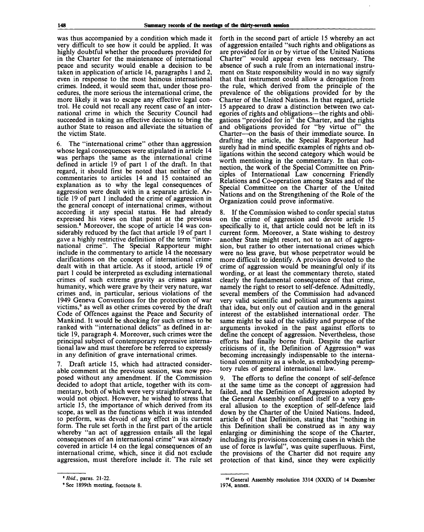was thus accompanied by a condition which made it very difficult to see how it could be applied. It was highly doubtful whether the procedures provided for in the Charter for the maintenance of international peace and security would enable a decision to be taken in application of article 14, paragraphs 1 and 2, even in response to the most heinous international crimes. Indeed, it would seem that, under those procedures, the more serious the international crime, the more likely it was to escape any effective legal control. He could not recall any recent case of an international crime in which the Security Council had succeeded in taking an effective decision to bring the author State to reason and alleviate the situation of the victim State.

6. The "international crime" other than aggression whose legal consequences were stipulated in article 14 was perhaps the same as the international crime defined in article 19 of part 1 of the draft. In that regard, it should first be noted that neither of the commentaries to articles 14 and 15 contained an explanation as to why the legal consequences of aggression were dealt with in a separate article. Article 19 of part 1 included the crime of aggression in the general concept of international crimes, without according it any special status. He had already expressed his views on that point at the previous session.<sup>8</sup> Moreover, the scope of article 14 was considerably reduced by the fact that article 19 of part 1 gave a highly restrictive definition of the term "international crime". The Special Rapporteur might include in the commentary to article 14 the necessary clarifications on the concept of international crime dealt with in that article. As it stood, article 19 of part 1 could be interpreted as excluding international crimes of such extreme gravity as crimes against humanity, which were grave by their very nature, war crimes and, in particular, serious violations of the 1949 Geneva Conventions for the protection of war victims, $9$  as well as other crimes covered by the draft Code of Offences against the Peace and Security of Mankind. It would be shocking for such crimes to be ranked with "international delicts" as defined in article 19, paragraph 4. Moreover, such crimes were the principal subject of contemporary repressive international law and must therefore be referred to expressly in any definition of grave international crimes.

7. Draft article 15, which had attracted considerable comment at the previous session, was now proposed without any amendment. If the Commission decided to adopt that article, together with its commentary, both of which were very straightforward, he would not object. However, he wished to stress that article 15, the importance of which derived from its scope, as well as the functions which it was intended to perform, was devoid of any effect in its current form. The rule set forth in the first part of the article whereby "an act of aggression entails all the legal consequences of an international crime" was already covered in article 14 on the legal consequences of an international crime, which, since it did not exclude aggression, must therefore include it. The rule set

forth in the second part of article 15 whereby an act of aggression entailed "such rights and obligations as are provided for in or by virtue of the United Nations Charter" would appear even less necessary. The absence of such a rule from an international instrument on State responsibility would in no way signify that that instrument could allow a derogation from the rule, which derived from the principle of the prevalence of the obligations provided for by the Charter of the United Nations. In that regard, article 15 appeared to draw a distinction between two categories of rights and obligations—the rights and obligations "provided for in" the Charter, and the rights and obligations provided for "by virtue of" the Charter—on the basis of their immediate source. In drafting the article, the Special Rapporteur had surely had in mind specific examples of rights and obligations within the second category which would be worth mentioning in the commentary. In that connection, the work of the Special Committee on Principles of International Law concerning Friendly Relations and Co-operation among States and of the Special Committee on the Charter of the United Nations and on the Strengthening of the Role of the Organization could prove informative.

8. If the Commission wished to confer special status on the crime of aggression and devote article 15 specifically to it, that article could not be left in its current form. Moreover, a State wishing to destroy another State might resort, not to an act of aggression, but rather to other international crimes which were no less grave, but whose perpetrator would be more difficult to identify. A provision devoted to the crime of aggression would be meaningful only if its wording, or at least the commentary thereto, stated clearly the fundamental consequence of that crime, namely the right to resort to self-defence. Admittedly, several members of the Commission had advanced very valid scientific and political arguments against that idea, but only out of caution and in the general interest of the established international order. The same might be said of the validity and purpose of the arguments invoked in the past against efforts to define the concept of aggression. Nevertheless, those efforts had finally borne fruit. Despite the earlier criticisms of it, the Definition of Aggression<sup>10</sup> was becoming increasingly indispensable to the international community as a whole, as embodying peremptory rules of general international law.

9. The efforts to define the concept of self-defence at the same time as the concept of aggression had failed, and the Definition of Aggression adopted by the General Assembly confined itself to a very general allusion to the exception of self-defence laid down by the Charter of the United Nations. Indeed, article 6 of that Definition, stating that "nothing in this Definition shall be construed as in any way enlarging or diminishing the scope of the Charter, including its provisions concerning cases in which the use of force is lawful", was quite superfluous. First, the provisions of the Charter did not require any protection of that kind, since they were explicitly

<sup>8</sup>  *Ibid.,* paras. 21-22.

<sup>&#</sup>x27;See 1899th meeting, footnote 8.

<sup>10</sup> General Assembly resolution 3314 (XXIX) of 14 December 1974, annex.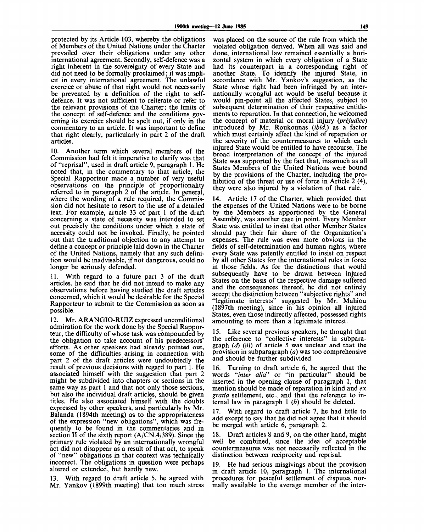protected by its Article 103, whereby the obligations of Members of the United Nations under the Charter prevailed over their obligations under any other international agreement. Secondly, self-defence was a right inherent in the sovereignty of every State and did not need to be formally proclaimed; it was implicit in every international agreement. The unlawful exercice or abuse of that right would not necessarily be prevented by a definition of the right to selfdefence. It was not sufficient to reiterate or refer to the relevant provisions of the Charter; the limits of the concept of self-defence and the conditions governing its exercice should be spelt out, if only in the commentary to an article. It was important to define that right clearly, particularly in part 2 of the draft articles.

10. Another term which several members of the Commission had felt it imperative to clarify was that of "reprisal", used in draft article 9, paragraph 1. He noted that, in the commentary to that article, the Special Rapporteur made a number of very useful observations on the principle of proportionality referred to in paragraph 2 of the article. In general, where the wording of a rule required, the Commission did not hesitate to resort to the use of a detailed text. For example, article 33 of part 1 of the draft concerning a state of necessity was intended to set out precisely the conditions under which a state of necessity could not be invoked. Finally, he pointed out that the traditional objection to any attempt to define a concept or principle laid down in the Charter of the United Nations, namely that any such definition would be inadvisable, if not dangerous, could no longer be seriously defended.

11. With regard to a future part 3 of the draft articles, he said that he did not intend to make any observations before having studied the draft articles concerned, which it would be desirable for the Special Rapporteur to submit to the Commission as soon as possible.

12. Mr. ARANGIO-RUIZ expressed unconditional admiration for the work done by the Special Rapporteur, the difficulty of whose task was compounded by the obligation to take account of his predecessors' efforts. As other speakers had already pointed out, some of the difficulties arising in connection with part 2 of the draft articles were undoubtedly the result of previous decisions with regard to part 1. He associated himself with the suggestion that part 2 might be subdivided into chapters or sections in the same way as part 1 and that not only those sections, but also the individual draft articles, should be given titles. He also associated himself with the doubts expressed by other speakers, and particularly by Mr. Balanda (1894th meeting) as to the appropriateness of the expression "new obligations", which was frequently to be found in the commentaries and in section II of the sixth report (A/CN.4/389). Since the primary rule violated by an internationally wrongful act did not disappear as a result of that act, to speak of "new" obligations in that context was technically incorrect. The obligations in question were perhaps altered or extended, but hardly new.

With regard to draft article 5, he agreed with Mr. Yankov (1899th meeting) that too much stress was placed on the source of the rule from which the violated obligation derived. When all was said and done, international law remained essentially a horizontal system in which every obligation of a State had its counterpart in a corresponding right of another State. To identify the injured State, in accordance with Mr. Yankoy's suggestion, as the State whose right had been infringed by an internationally wrongful act would be useful because it would pin-point all the affected States, subject to subsequent determination of their respective entitlements to reparation. In that connection, he welcomed the concept of material or moral injury *(prejudice)* introduced by Mr. Roukounas *(ibid.)* as a factor which must certainly affect the kind of reparation or the severity of the countermeasures to which each injured State would be entitled to have recourse. The broad interpretation of the concept of the injured State was supported by the fact that, inasmuch as all States Members of the United Nations were bound by the provisions of the Charter, including the prohibition of the threat or use of force in Article  $2(4)$ , they were also injured by a violation of that rule.

14. Article 17 of the Charter, which provided that the expenses of the United Nations were to be borne by the Members as apportioned by the General Assembly, was another case in point. Every Member State was entitled to insist that other Member States should pay their fair share of the Organization's expenses. The rule was even more obvious in the fields of self-determination and human rights, where every State was patently entitled to insist on respect by all other States for the international rules in force in those fields. As for the distinctions that would subsequently have to be drawn between injured States on the basis of the respective damage suffered and the consequences thereof, he did not entirely accept the distinction between "subjective rights" and "legitimate interests" suggested by Mr. Mahiou (1897th meeting), since in his opinion all injured States, even those indirectly affected, possessed rights amounting to more than a legitimate interest.

15. Like several previous speakers, he thought that the reference to "collective interests" in subparagraph *(d)* (iii) of article 5 was unclear and that the provision in subparagraph *(a)* was too comprehensive and should be further subdivided.

Turning to draft article 6, he agreed that the words *""inter alia"* or "in particular" should be inserted in the opening clause of paragraph 1, that mention should be made of reparation in kind and *ex gratia* settlement, etc., and that the reference to internal law in paragraph 1 *(b)* should be deleted.

With regard to draft article 7, he had little to add except to say that he did not agree that it should be merged with article 6, paragraph 2.

18. Draft articles 8 and 9, on the other hand, might well be combined, since the idea of acceptable countermeasures was not necessarily reflected in the distinction between reciprocity and reprisal.

19. He had serious misgivings about the provision in draft article 10, paragraph 1. The international procedures for peaceful settlement of disputes normally available to the average member of the inter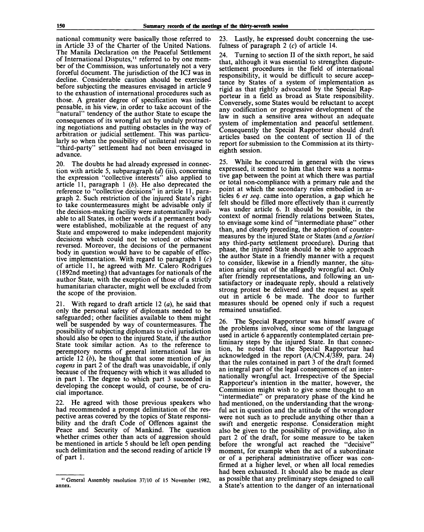national community were basically those referred to in Article 33 of the Charter of the United Nations. The Manila Declaration on the Peaceful Settlement of International Disputes,<sup>11</sup> referred to by one member of the Commission, was unfortunately not a very forceful document. The jurisdiction of the ICJ was in decline. Considerable caution should be exercised before subjecting the measures envisaged in article 9 to the exhaustion of international procedures such as those. A greater degree of specification was indispensable, in his view, in order to take account of the "natural" tendency of the author State to escape the consequences of its wrongful act by unduly protracting negotiations and putting obstacles in the way of arbitration or judicial settlement. This was particularly so when the possibility of unilateral recourse to "third-party" settlement had not been envisaged in advance.

20. The doubts he had already expressed in connection with article 5, subparagraph *(d)* (iii), concerning the expression "collective interests" also applied to article 11, paragraph 1 *(b).* He also deprecated the reference to "collective decisions" in article 11, paragraph 2. Such restriction of the injured State's right to take countermeasures might be advisable only if the decision-making facility were automatically available to all States, in other words if a permanent body were established, mobilizable at the request of any State and empowered to make independent majority decisions which could not be vetoed or otherwise reversed. Moreover, the decisions of the permanent body in question would have to be capable of effective implementation. With regard to paragraph  $1$   $(c)$ of article 11, he agreed with Mr. Calero Rodrigues (1892nd meeting) that advantages for nationals of the author State, with the exception of those of a strictly humanitarian character, might well be excluded from the scope of the provision.

21. With regard to draft article 12 *(a),* he said that only the personal safety of diplomats needed to be safeguarded; other facilities available to them might well be suspended by way of countermeasures. The possibility of subjecting diplomats to civil jurisdiction should also be open to the injured State, if the author State took similar action. As to the reference to peremptory norms of general international law in article 12 *(b),* he thought that some mention *of jus cogens* in part 2 of the draft was unavoidable, if only because of the frequency with which it was alluded to in part 1. The degree to which part 3 succeeded in developing the concept would, of course, be of crucial importance.

22. He agreed with those previous speakers who had recommended a prompt delimitation of the respective areas covered by the topics of State responsibility and the draft Code of Offences against the Peace and Security of Mankind. The question whether crimes other than acts of aggression should be mentioned in article 5 should be left open pending such delimitation and the second reading of article 19 of part 1.

23. Lastly, he expressed doubt concerning the usefulness of paragraph 2 (c) of article 14.

24. Turning to section II of the sixth report, he said that, although it was essential to strengthen disputesettlement procedures in the field of international responsibility, it would be difficult to secure acceptance by States of a system of implementation as rigid as that rightly advocated by the Special Rapporteur in a field as broad as State responsibility. Conversely, some States would be reluctant to accept any codification or progressive development of the law in such a sensitive area without an adequate system of implementation and peaceful settlement. Consequently the Special Rapporteur should draft articles based on the content of section II of the report for submission to the Commission at its thirtyeighth session.

25. While he concurred in general with the views expressed, it seemed to him that there was a normative gap between the point at which there was partial or total non-compliance with a primary rule and the point at which the secondary rules embodied in articles 6 *et seq.* came into operation, a gap which he felt should be filled more effectively than it currently was under article 6. It should be possible, in the context of normal friendly relations between States, to envisage some kind of "intermediate phase" other than, and clearly preceding, the adoption of countermeasures by the injured State or States (and *a fortiori* any third-party settlement procedure). During that phase, the injured State should be able to approach the author State in a friendly manner with a request to consider, likewise in a friendly manner, the situation arising out of the allegedly wrongful act. Only after friendly representations, and following an unsatisfactory or inadequate reply, should a relatively strong protest be delivered and the request as spelt out in article 6 be made. The door to further measures should be opened only if such a request remained unsatisfied.

26. The Special Rapporteur was himself aware of the problems involved, since some of the language used in article 6 apparently contemplated certain preliminary steps by the injured State. In that connection, he noted that the Special Rapporteur had acknowledged in the report  $(A/CN.4/389, \text{ para. } 24)$ that the rules contained in part 3 of the draft formed an integral part of the legal consequences of an internationally wrongful act. Irrespective of the Special Rapporteur's intention in the matter, however, the Commission might wish to give some thought to an "intermediate" or preparatory phase of the kind he had mentioned, on the understanding that the wrongful act in question and the attitude of the wrongdoer were not such as to preclude anything other than a swift and energetic response. Consideration might also be given to the possibility of providing, also in part 2 of the draft, for some measure to be taken before the wrongful act reached the "decisive" moment, for example when the act of a subordinate or of a peripheral administrative officer was confirmed at a higher level, or when all local remedies had been exhausted. It should also be made as clear as possible that any preliminary steps designed to call a State's attention to the danger of an international

<sup>&</sup>lt;sup>11</sup> General Assembly resolution 37/10 of 15 November 1982, annex.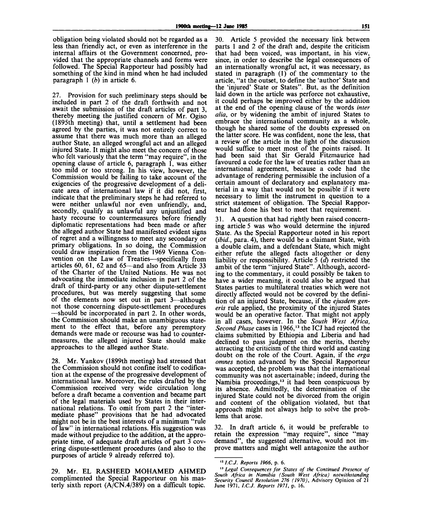obligation being violated should not be regarded as a less than friendly act, or even as interference in the internal affairs ot the Government concerned, provided that the appropriate channels and forms were followed. The Special Rapporteur had possibly had something of the kind in mind when he had included paragraph 1 *(b)* in article 6.

27. Provision for such preliminary steps should be included in part 2 of the draft forthwith and not await the submission of the draft articles of part 3, thereby meeting the justified concern of Mr. Ogiso (1895th meeting) that, until a settlement had been agreed by the parties, it was not entirely correct to assume that there was much more than an alleged author State, an alleged wrongful act and an alleged injured State. It might also meet the concern of those who felt variously that the term "may require", in the opening clause of article 6, paragraph 1, was either too mild or too strong. In his view, however, the Commission would be failing to take account of the exigencies of the progressive development of a delicate area of international law if it did not, first, indicate that the preliminary steps he had referred to were neither unlawful nor even unfriendly, and, secondly, qualify as unlawful any unjustified and hasty recourse to countermeasures before friendly diplomatic representations had been made or after the alleged author State had manifested evident signs of regret and a willingness to meet any secondary or primary obligations. In so doing, the Commission could draw inspiration from the 1969 Vienna Convention on the Law of Treaties—specifically from articles 60, 61, 62 and 65—and also from Article 33 of the Charter of the United Nations. He was not advocating the immediate inclusion in part 2 of the draft of third-party or any other dispute-settlement procedures, but was merely suggesting that some of the elements now set out in part 3—although not those concerning dispute-settlement procedures —should be incorporated in part 2. In other words, the Commission should make an unambiguous statement to the effect that, before any peremptory demands were made or recourse was had to countermeasures, the alleged injured State should make approaches to the alleged author State.

28. Mr. Yankov (1899th meeting) had stressed that the Commission should not confine itself to codification at the expense of the progressive development of international law. Moreover, the rules drafted by the Commission received very wide circulation long before a draft became a convention and became part of the legal materials used by States in their international relations. To omit from part 2 the "intermediate phase" provisions that he had advocated might not be in the best interests of a minimum "rule of law" in international relations. His suggestion was made without prejudice to the addition, at the appropriate time, of adequate draft articles of part 3 covering dispute-settlement procedures (and also to the purposes of article 9 already referred to).

29. Mr. EL RASHEED MOHAMED AHMED complimented the Special Rapporteur on his masterly sixth report  $(A/CN.4/389)$  on a difficult topic.

30. Article 5 provided the necessary link between parts 1 and 2 of the draft and, despite the criticism that had been voiced, was important, in his view, since, in order to describe the legal consequences of an internationally wrongful act, it was necessary, as stated in paragraph (1) of the commentary to the article, "at the outset, to define the 'author' State and the 'injured' State or States". But, as the definition laid down in the article was perforce not exhaustive, it could perhaps be improved either by the addition at the end of the opening clause of the words *inter alia,* or by widening the ambit of injured States to embrace the international community as a whole, though he shared some of the doubts expressed on the latter score. He was confident, none the less, that a review of the article in the light of the discussion would suffice to meet most of the points raised. It had been said that Sir Gerald Fitzmaurice had favoured a code for the law of treaties rather than an international agreement, because a code had the advantage of rendering permissible the inclusion of a certain amount of declaratory and explanatory material in a way that would not be possible if it were necessary to limit the instrument in question to a strict statement of obligation. The Special Rapporteur had done his best to meet that requirement.

31. A question that had rightly been raised concerning article 5 was who would determine the injured State. As the Special Rapporteur noted in his report *(ibid.,* para. 4), there would be a claimant State, with a double claim, and a defendant State, which might either refute the alleged facts altogether or deny liability or responsibility. Article 5 *(d)* restricted the ambit of the term "injured State". Although, according to the commentary, it could possibly be taken to have a wider meaning, it could also be argued that States parties to multilateral treaties which were not directly affected would not be covered by the definition of an injured State, because, if the *ejusdem generis* rule applied, the proximity of the injured States would be an operative factor. That might not apply in all cases, however. In the *South West Africa, Second Phase* cases in 1966,<sup>12</sup> the ICJ had rejected the claims submitted by Ethiopia and Liberia and had declined to pass judgment on the merits, thereby attracting the criticism of the third world and casting doubt on the role of the Court. Again, if the *erga omnes* notion advanced by the Special Rapporteur was accepted, the problem was that the international community was not ascertainable; indeed, during the Namibia proceedings,<sup>13</sup> it had been conspicuous by its absence. Admittedly, the determination of the injured State could not be divorced from the origin and content of the obligation violated, but that approach might not always help to solve the problems that arose.

32. In draft article 6, it would be preferable to retain the expression "may require", since "may demand", the suggested alternative, would not improve matters and might well antagonize the author

<sup>12</sup>*1.C.J. Reports 1966,* p. 6.

<sup>13</sup>  *Legal Consequences for States of the Continued Presence of South Africa in Namibia (South West Africa) notwithstanding Security Council Resolution 276 (1970),* Advisory Opinion of 21 June 1971, *I.C.J. Reports 1971,* p. 16.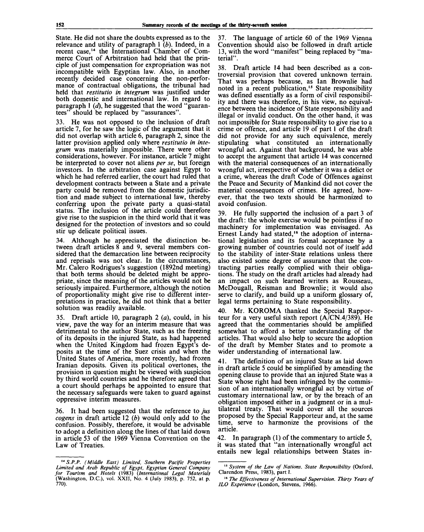State. He did not share the doubts expressed as to the relevance and utility of paragraph 1 *(b).* Indeed, in a recent case,<sup>14</sup> the International Chamber of Commerce Court of Arbitration had held that the principle of just compensation for expropriation was not incompatible with Egyptian law. Also, in another recently decided case concerning the non-performance of contractual obligations, the tribunal had held that *restitutio in integrum* was justified under both domestic and international law. In regard to paragraph 1 *(d),* he suggested that the word "guarantees" should be replaced by "assurances".

33. He was not opposed to the inclusion of draft article 7, for he saw the logic of the argument that it did not overlap with article 6, paragraph 2, since the latter provision applied only where *restitutio in integrum* was materially impossible. There were other considerations, however. For instance, article 7 might be interpreted to cover not aliens *per se,* but foreign investors. In the arbitration case against Egypt to which he had referred earlier, the court had ruled that development contracts between a State and a private party could be removed from the domestic jurisdiction and made subject to international law, thereby conferring upon the private party a quasi-statal status. The inclusion of the article could therefore give rise to the suspicion in the third world that it was designed for the protection of investors and so could stir up delicate political issues.

34. Although he appreciated the distinction between draft articles 8 and 9, several members considered that the demarcation line between reciprocity and reprisals was not clear. In the circumstances, Mr. Calero Rodrigues's suggestion (1892nd meeting) that both terms should be deleted might be appropriate, since the meaning of the articles would not be seriously impaired. Furthermore, although the notion of proportionality might give rise to different interpretations in practice, he did not think that a better solution was readily available.

35. Draft article 10, paragraph  $2(a)$ , could, in his view, pave the way for an interim measure that was detrimental to the author State, such as the freezing of its deposits in the injured State, as had happened when the United Kingdom had frozen Egypt's deposits at the time of the Suez crisis and when the United States of America, more recently, had frozen Iranian deposits. Given its political overtones, the provision in question might be viewed with suspicion by third world countries and he therefore agreed that a court should perhaps be appointed to ensure that the necessary safeguards were taken to guard against oppressive interim measures.

36. It had been suggested that the reference *to jus cogens* in draft article 12 *(b)* would only add to the confusion. Possibly, therefore, it would be advisable to adopt a definition along the lines of that laid down in article 53 of the 1969 Vienna Convention on the Law of Treaties.

37. The language of article 60 of the 1969 Vienna Convention should also be followed in draft article 13, with the word "manifest" being replaced by "material".

38. Draft article 14 had been described as a controversial provision that covered unknown terrain. That was perhaps because, as Ian Brownlie had noted in a recent publication,<sup>15</sup> State responsibility was defined essentially as a form of civil responsibility and there was therefore, in his view, no equivalence between the incidence of State responsibility and illegal or invalid conduct. On the other hand, it was not impossible for State responsibility to give rise to a crime or offence, and article 19 of part 1 of the draft did not provide for any such equivalence, merely stipulating what constituted an internationally wrongful act. Against that background, he was able to accept the argument that article 14 was concerned with the material consequences of an internationally wrongful act, irrespective of whether it was a delict or a crime, whereas the draft Code of Offences against the Peace and Security of Mankind did not cover the material consequences of crimes. He agreed, however, that the two texts should be harmonized to avoid confusion.

39. He fully supported the inclusion of a part 3 of the draft: the whole exercise would be pointless if no machinery for implementation was envisaged. As Ernest Landy had stated,<sup>16</sup> the adoption of international legislation and its formal acceptance by a growing number of countries could not of itself add to the stability of inter-State relations unless there also existed some degree of assurance that the contracting parties really complied with their obligations. The study on the draft articles had already had an impact on such learned writers as Rousseau, McDougall, Reisman and Brownlie; it would also serve to clarify, and build up a uniform glossary of, legal terms pertaining to State responsibility.

40. Mr. KOROMA thanked the Special Rapporteur for a very useful sixth report (A/CN.4/389). He agreed that the commentaries should be amplified somewhat to afford a better understanding of the articles. That would also help to secure the adoption of the draft by Member States and to promote a wider understanding of international law.

41. The definition of an injured State as laid down in draft article 5 could be simplified by amending the opening clause to provide that an injured State was a State whose right had been infringed by the commission of an internationally wrongful act by virtue of customary international law, or by the breach of an obligation imposed either in a judgment or in a multilateral treaty. That would cover all the sources proposed by the Special Rapporteur and, at the same time, serve to harmonize the provisions of the article.

42. In paragraph (1) of the commentary to article 5, it was stated that "an internationally wrongful act entails new legal relationships between States in-

<sup>14</sup>  *S.P.P. (Middle East) Limited, Southern Pacific Properties Limited and Arab Republic of Egypt, Egyptian General Company for Tourism and Hotels* (1983) *(International Legal Materials* (Washington, D.C.), vol. XXII, No. 4 (July 1983), p. 752, at p. 770).

<sup>15</sup>  *System of the Law of Nations. State Responsibility* (Oxford, Clarendon Press, 1983), part I.

<sup>16</sup>  *The Effectiveness of International Supervision. Thirty Years of ILO Experience* (London, Stevens, 1966).